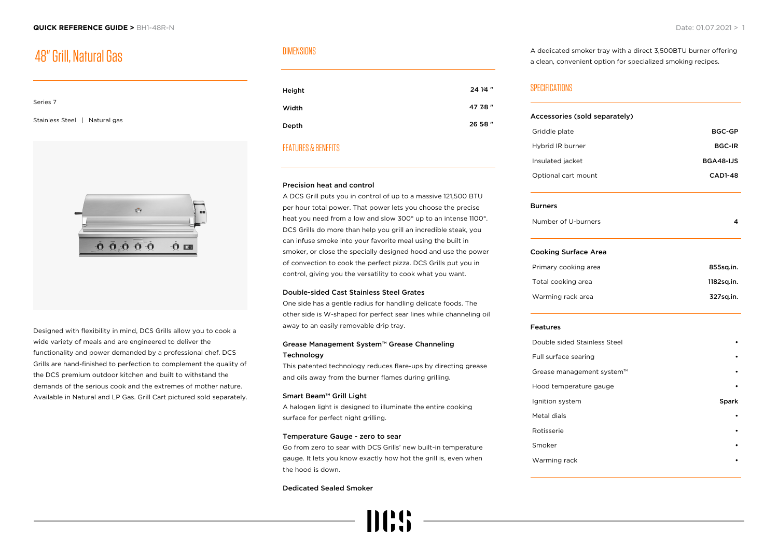# 48" Grill, Natural Gas

# Series 7 Stainless Steel | Natural gas



Designed with flexibility in mind, DCS Grills allow you to cook a wide variety of meals and are engineered to deliver the functionality and power demanded by a professional chef. DCS Grills are hand-finished to perfection to complement the quality of the DCS premium outdoor kitchen and built to withstand the demands of the serious cook and the extremes of mother nature. Available in Natural and LP Gas. Grill Cart pictured sold separately.

# DIMENSIONS

| Height | 24 14"  |
|--------|---------|
| Width  | 47 7/8" |
| Depth  | 26 58"  |

# FEATURES & BENEFITS

#### Precision heat and control

A DCS Grill puts you in control of up to a massive 121,500 BTU per hour total power. That power lets you choose the precise heat you need from a low and slow 300° up to an intense 1100°. DCS Grills do more than help you grill an incredible steak, you can infuse smoke into your favorite meal using the built in smoker, or close the specially designed hood and use the power of convection to cook the perfect pizza. DCS Grills put you in control, giving you the versatility to cook what you want.

#### Double-sided Cast Stainless Steel Grates

One side has a gentle radius for handling delicate foods. The other side is W-shaped for perfect sear lines while channeling oil away to an easily removable drip tray.

### Grease Management System™ Grease Channeling **Technology**

This patented technology reduces flare-ups by directing grease and oils away from the burner flames during grilling.

#### Smart Beam™ Grill Light

A halogen light is designed to illuminate the entire cooking surface for perfect night grilling.

#### Temperature Gauge - zero to sear

Go from zero to sear with DCS Grills' new built-in temperature gauge. It lets you know exactly how hot the grill is, even when the hood is down.

#### Dedicated Sealed Smoker



A dedicated smoker tray with a direct 3,500BTU burner offering a clean, convenient option for specialized smoking recipes.

# SPECIFICATIONS

| Accessories (sold separately)        |                |  |
|--------------------------------------|----------------|--|
| Griddle plate                        | <b>BGC-GP</b>  |  |
| Hybrid IR burner<br>Insulated jacket | <b>BGC-IR</b>  |  |
|                                      | BGA48-IJS      |  |
| Optional cart mount                  | <b>CAD1-48</b> |  |
| <b>Burners</b>                       |                |  |
| Number of U-burners                  | 4              |  |
| <b>Cooking Surface Area</b>          |                |  |
| Primary cooking area                 | 855sq.in.      |  |
| Total cooking area                   | 1182sq.in.     |  |
| Warming rack area                    | 327sq.in.      |  |
| <b>Features</b>                      |                |  |
| Double sided Stainless Steel         |                |  |
| Full surface searing                 |                |  |
| Grease management system™            |                |  |
| Hood temperature gauge               |                |  |
| Ignition system                      | Spark          |  |
| Metal dials                          |                |  |
| Rotisserie                           |                |  |
| Smoker                               |                |  |
| Warming rack                         |                |  |